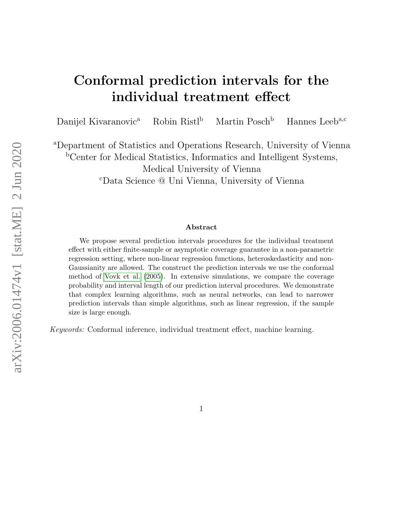# Conformal prediction intervals for the individual treatment effect

Danijel Kivaranovic<sup>a</sup> Robin Ristl<sup>b</sup> Martin Posch<sup>b</sup> Hannes Leeb<sup>a,c</sup>

<sup>a</sup>Department of Statistics and Operations Research, University of Vienna <sup>b</sup>Center for Medical Statistics, Informatics and Intelligent Systems, Medical University of Vienna <sup>c</sup>Data Science @ Uni Vienna, University of Vienna

#### Abstract

We propose several prediction intervals procedures for the individual treatment effect with either finite-sample or asymptotic coverage guarantee in a non-parametric regression setting, where non-linear regression functions, heteroskedasticity and non-Gaussianity are allowed. The construct the prediction intervals we use the conformal method of [Vovk et al.](#page-31-0) [\(2005\)](#page-31-0). In extensive simulations, we compare the coverage probability and interval length of our prediction interval procedures. We demonstrate that complex learning algorithms, such as neural networks, can lead to narrower prediction intervals than simple algorithms, such as linear regression, if the sample size is large enough.

Keywords: Conformal inference, individual treatment effect, machine learning.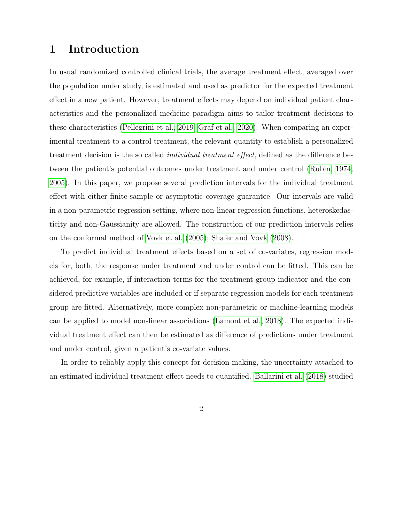## 1 Introduction

In usual randomized controlled clinical trials, the average treatment effect, averaged over the population under study, is estimated and used as predictor for the expected treatment effect in a new patient. However, treatment effects may depend on individual patient characteristics and the personalized medicine paradigm aims to tailor treatment decisions to these characteristics [\(Pellegrini et al., 2019;](#page-30-0) [Graf et al., 2020\)](#page-29-0). When comparing an experimental treatment to a control treatment, the relevant quantity to establish a personalized treatment decision is the so called individual treatment effect, defined as the difference between the patient's potential outcomes under treatment and under control [\(Rubin, 1974,](#page-30-1) [2005\)](#page-30-2). In this paper, we propose several prediction intervals for the individual treatment effect with either finite-sample or asymptotic coverage guarantee. Our intervals are valid in a non-parametric regression setting, where non-linear regression functions, heteroskedasticity and non-Gaussianity are allowed. The construction of our prediction intervals relies on the conformal method of [Vovk et al. \(2005\)](#page-31-0); [Shafer and Vovk \(2008\)](#page-31-1).

To predict individual treatment effects based on a set of co-variates, regression models for, both, the response under treatment and under control can be fitted. This can be achieved, for example, if interaction terms for the treatment group indicator and the considered predictive variables are included or if separate regression models for each treatment group are fitted. Alternatively, more complex non-parametric or machine-learning models can be applied to model non-linear associations [\(Lamont et al., 2018\)](#page-30-3). The expected individual treatment effect can then be estimated as difference of predictions under treatment and under control, given a patient's co-variate values.

In order to reliably apply this concept for decision making, the uncertainty attached to an estimated individual treatment effect needs to quantified. [Ballarini et al. \(2018\)](#page-29-1) studied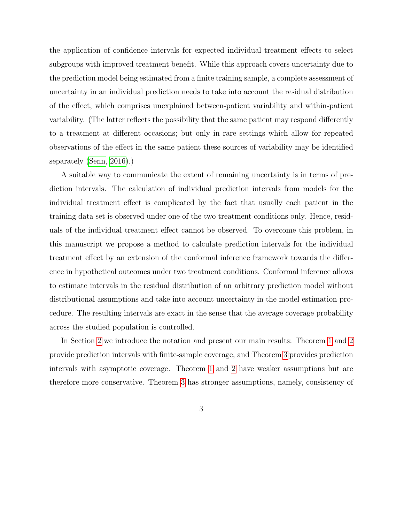the application of confidence intervals for expected individual treatment effects to select subgroups with improved treatment benefit. While this approach covers uncertainty due to the prediction model being estimated from a finite training sample, a complete assessment of uncertainty in an individual prediction needs to take into account the residual distribution of the effect, which comprises unexplained between-patient variability and within-patient variability. (The latter reflects the possibility that the same patient may respond differently to a treatment at different occasions; but only in rare settings which allow for repeated observations of the effect in the same patient these sources of variability may be identified separately [\(Senn, 2016\)](#page-31-2).)

A suitable way to communicate the extent of remaining uncertainty is in terms of prediction intervals. The calculation of individual prediction intervals from models for the individual treatment effect is complicated by the fact that usually each patient in the training data set is observed under one of the two treatment conditions only. Hence, residuals of the individual treatment effect cannot be observed. To overcome this problem, in this manuscript we propose a method to calculate prediction intervals for the individual treatment effect by an extension of the conformal inference framework towards the difference in hypothetical outcomes under two treatment conditions. Conformal inference allows to estimate intervals in the residual distribution of an arbitrary prediction model without distributional assumptions and take into account uncertainty in the model estimation procedure. The resulting intervals are exact in the sense that the average coverage probability across the studied population is controlled.

In Section [2](#page-3-0) we introduce the notation and present our main results: Theorem [1](#page-8-0) and [2](#page-8-1) provide prediction intervals with finite-sample coverage, and Theorem [3](#page-9-0) provides prediction intervals with asymptotic coverage. Theorem [1](#page-8-0) and [2](#page-8-1) have weaker assumptions but are therefore more conservative. Theorem [3](#page-9-0) has stronger assumptions, namely, consistency of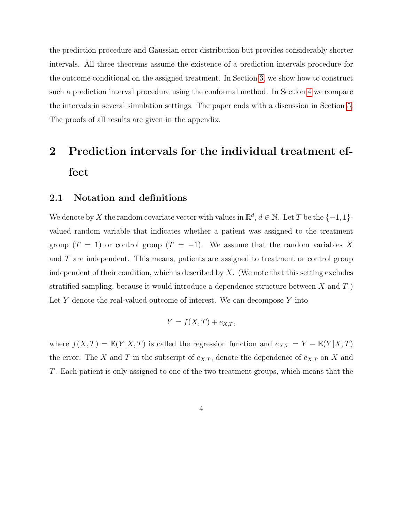the prediction procedure and Gaussian error distribution but provides considerably shorter intervals. All three theorems assume the existence of a prediction intervals procedure for the outcome conditional on the assigned treatment. In Section [3,](#page-10-0) we show how to construct such a prediction interval procedure using the conformal method. In Section [4](#page-14-0) we compare the intervals in several simulation settings. The paper ends with a discussion in Section [5.](#page-17-0) The proofs of all results are given in the appendix.

# <span id="page-3-0"></span>2 Prediction intervals for the individual treatment effect

#### 2.1 Notation and definitions

We denote by X the random covariate vector with values in  $\mathbb{R}^d$ ,  $d \in \mathbb{N}$ . Let T be the  $\{-1, 1\}$ valued random variable that indicates whether a patient was assigned to the treatment group  $(T = 1)$  or control group  $(T = -1)$ . We assume that the random variables X and T are independent. This means, patients are assigned to treatment or control group independent of their condition, which is described by  $X$ . (We note that this setting excludes stratified sampling, because it would introduce a dependence structure between X and T.) Let  $Y$  denote the real-valued outcome of interest. We can decompose  $Y$  into

$$
Y = f(X, T) + e_{X,T},
$$

where  $f(X,T) = \mathbb{E}(Y|X,T)$  is called the regression function and  $e_{X,T} = Y - \mathbb{E}(Y|X,T)$ the error. The X and T in the subscript of  $e_{X,T}$ , denote the dependence of  $e_{X,T}$  on X and T. Each patient is only assigned to one of the two treatment groups, which means that the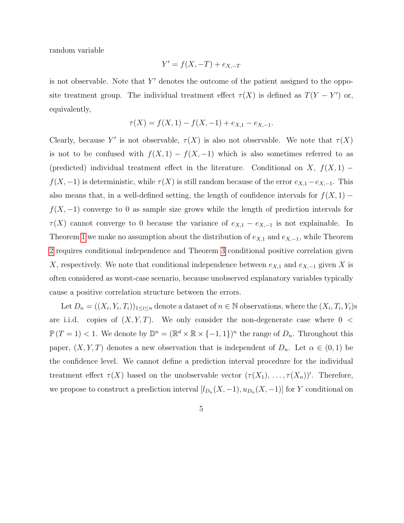random variable

$$
Y' = f(X, -T) + e_{X, -T}
$$

is not observable. Note that  $Y'$  denotes the outcome of the patient assigned to the opposite treatment group. The individual treatment effect  $\tau(X)$  is defined as  $T(Y - Y')$  or, equivalently,

$$
\tau(X) = f(X, 1) - f(X, -1) + e_{X,1} - e_{X, -1}.
$$

Clearly, because Y' is not observable,  $\tau(X)$  is also not observable. We note that  $\tau(X)$ is not to be confused with  $f(X, 1) - f(X, -1)$  which is also sometimes referred to as (predicted) individual treatment effect in the literature. Conditional on X,  $f(X, 1)$  –  $f(X, -1)$  is deterministic, while  $\tau(X)$  is still random because of the error  $e_{X,1}-e_{X,-1}$ . This also means that, in a well-defined setting, the length of confidence intervals for  $f(X, 1)$  –  $f(X, -1)$  converge to 0 as sample size grows while the length of prediction intervals for  $\tau(X)$  cannot converge to 0 because the variance of  $e_{X,1} - e_{X,-1}$  is not explainable. In Theorem [1](#page-8-0) we make no assumption about the distribution of  $e_{X,1}$  and  $e_{X,-1}$ , while Theorem [2](#page-8-1) requires conditional independence and Theorem [3](#page-9-0) conditional positive correlation given X, respectively. We note that conditional independence between  $e_{X,1}$  and  $e_{X,-1}$  given X is often considered as worst-case scenario, because unobserved explanatory variables typically cause a positive correlation structure between the errors.

Let  $D_n = ((X_i, Y_i, T_i))_{1 \leq i \leq n}$  denote a dataset of  $n \in \mathbb{N}$  observations, where the  $(X_i, T_i, Y_i)$ s are i.i.d. copies of  $(X, Y, T)$ . We only consider the non-degenerate case where  $0 <$  $\mathbb{P}(T=1)$  < 1. We denote by  $\mathbb{D}^n = (\mathbb{R}^d \times \mathbb{R} \times \{-1,1\})^n$  the range of  $D_n$ . Throughout this paper,  $(X, Y, T)$  denotes a new observation that is independent of  $D_n$ . Let  $\alpha \in (0, 1)$  be the confidence level. We cannot define a prediction interval procedure for the individual treatment effect  $\tau(X)$  based on the unobservable vector  $(\tau(X_1), \ldots, \tau(X_n))'$ . Therefore, we propose to construct a prediction interval  $[l_{D_n}(X, -1), u_{D_n}(X, -1)]$  for Y conditional on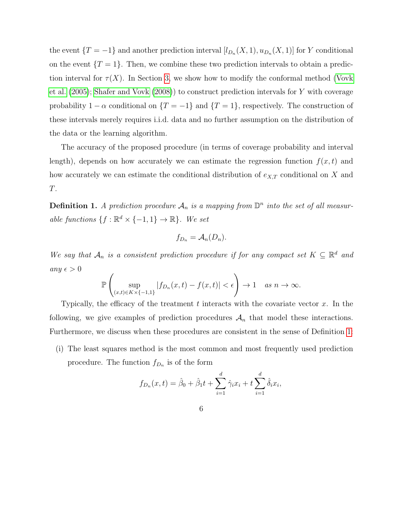the event  $\{T = -1\}$  and another prediction interval  $[l_{D_n}(X, 1), u_{D_n}(X, 1)]$  for Y conditional on the event  $\{T = 1\}$ . Then, we combine these two prediction intervals to obtain a prediction interval for  $\tau(X)$ . In Section [3,](#page-10-0) we show how to modify the conformal method [\(Vovk](#page-31-0) [et al. \(2005\)](#page-31-0); [Shafer and Vovk \(2008\)](#page-31-1)) to construct prediction intervals for Y with coverage probability  $1 - \alpha$  conditional on  $\{T = -1\}$  and  $\{T = 1\}$ , respectively. The construction of these intervals merely requires i.i.d. data and no further assumption on the distribution of the data or the learning algorithm.

The accuracy of the proposed procedure (in terms of coverage probability and interval length), depends on how accurately we can estimate the regression function  $f(x, t)$  and how accurately we can estimate the conditional distribution of  $e_{X,T}$  conditional on X and T.

<span id="page-5-0"></span>**Definition 1.** A prediction procedure  $\mathcal{A}_n$  is a mapping from  $\mathbb{D}^n$  into the set of all measurable functions  $\{f : \mathbb{R}^d \times \{-1,1\} \to \mathbb{R}\}.$  We set

$$
f_{D_n} = \mathcal{A}_n(D_n).
$$

We say that  $\mathcal{A}_n$  is a consistent prediction procedure if for any compact set  $K \subseteq \mathbb{R}^d$  and any  $\epsilon > 0$ 

$$
\mathbb{P}\left(\sup_{(x,t)\in K\times\{-1,1\}}|f_{D_n}(x,t)-f(x,t)|<\epsilon\right)\to 1 \quad as\ n\to\infty.
$$

Typically, the efficacy of the treatment  $t$  interacts with the covariate vector  $x$ . In the following, we give examples of prediction procedures  $A_n$  that model these interactions. Furthermore, we discuss when these procedures are consistent in the sense of Definition [1:](#page-5-0)

(i) The least squares method is the most common and most frequently used prediction procedure. The function  $f_{D_n}$  is of the form

$$
f_{D_n}(x,t) = \hat{\beta}_0 + \hat{\beta}_1 t + \sum_{i=1}^d \hat{\gamma}_i x_i + t \sum_{i=1}^d \hat{\delta}_i x_i,
$$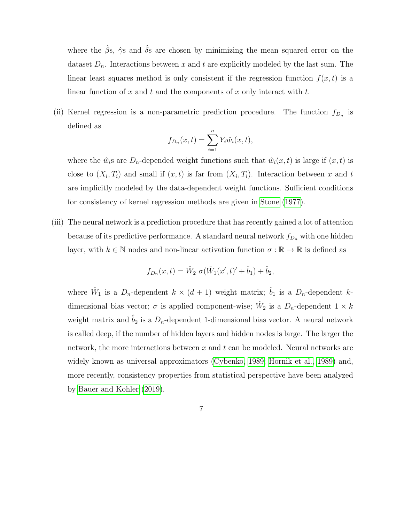where the  $\hat{\beta}$ s,  $\hat{\gamma}$ s and  $\hat{\delta}$ s are chosen by minimizing the mean squared error on the dataset  $D_n$ . Interactions between x and t are explicitly modeled by the last sum. The linear least squares method is only consistent if the regression function  $f(x, t)$  is a linear function of x and t and the components of x only interact with t.

(ii) Kernel regression is a non-parametric prediction procedure. The function  $f_{D_n}$  is defined as

$$
f_{D_n}(x,t) = \sum_{i=1}^n Y_i \hat{w}_i(x,t),
$$

where the  $\hat{w}_i$ s are  $D_n$ -depended weight functions such that  $\hat{w}_i(x,t)$  is large if  $(x,t)$  is close to  $(X_i, T_i)$  and small if  $(x, t)$  is far from  $(X_i, T_i)$ . Interaction between x and t are implicitly modeled by the data-dependent weight functions. Sufficient conditions for consistency of kernel regression methods are given in [Stone \(1977\)](#page-31-3).

(iii) The neural network is a prediction procedure that has recently gained a lot of attention because of its predictive performance. A standard neural network  $f_{D_n}$  with one hidden layer, with  $k \in \mathbb{N}$  nodes and non-linear activation function  $\sigma : \mathbb{R} \to \mathbb{R}$  is defined as

$$
f_{D_n}(x,t) = \hat{W}_2 \sigma(\hat{W}_1(x',t)'+\hat{b}_1) + \hat{b}_2,
$$

where  $\hat{W}_1$  is a  $D_n$ -dependent  $k \times (d+1)$  weight matrix;  $\hat{b}_1$  is a  $D_n$ -dependent kdimensional bias vector;  $\sigma$  is applied component-wise;  $\hat{W}_2$  is a  $D_n$ -dependent  $1 \times k$ weight matrix and  $\hat{b}_2$  is a  $D_n$ -dependent 1-dimensional bias vector. A neural network is called deep, if the number of hidden layers and hidden nodes is large. The larger the network, the more interactions between  $x$  and  $t$  can be modeled. Neural networks are widely known as universal approximators [\(Cybenko, 1989;](#page-29-2) [Hornik et al., 1989\)](#page-30-4) and, more recently, consistency properties from statistical perspective have been analyzed by [Bauer and Kohler \(2019\)](#page-29-3).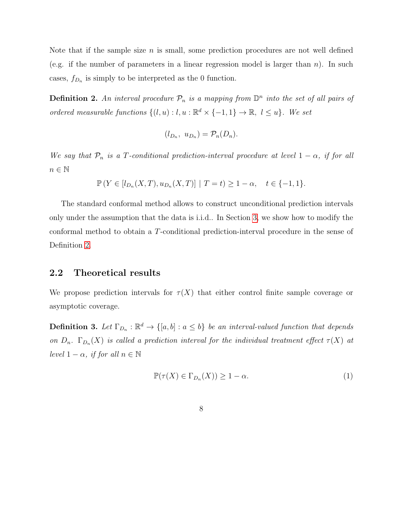Note that if the sample size  $n$  is small, some prediction procedures are not well defined (e.g. if the number of parameters in a linear regression model is larger than  $n$ ). In such cases,  $f_{D_n}$  is simply to be interpreted as the 0 function.

<span id="page-7-0"></span>**Definition 2.** An interval procedure  $\mathcal{P}_n$  is a mapping from  $\mathbb{D}^n$  into the set of all pairs of ordered measurable functions  $\{(l, u) : l, u : \mathbb{R}^d \times \{-1, 1\} \to \mathbb{R}, l \leq u\}$ . We set

$$
(l_{D_n}, u_{D_n}) = \mathcal{P}_n(D_n).
$$

We say that  $\mathcal{P}_n$  is a T-conditional prediction-interval procedure at level  $1 - \alpha$ , if for all  $n \in \mathbb{N}$ 

$$
\mathbb{P}\left(Y \in [l_{D_n}(X,T), u_{D_n}(X,T)] \mid T=t\right) \ge 1-\alpha, \quad t \in \{-1,1\}.
$$

The standard conformal method allows to construct unconditional prediction intervals only under the assumption that the data is i.i.d.. In Section [3,](#page-10-0) we show how to modify the conformal method to obtain a T-conditional prediction-interval procedure in the sense of Definition [2.](#page-7-0)

### 2.2 Theoretical results

We propose prediction intervals for  $\tau(X)$  that either control finite sample coverage or asymptotic coverage.

**Definition 3.** Let  $\Gamma_{D_n} : \mathbb{R}^d \to \{[a, b] : a \leq b\}$  be an interval-valued function that depends on  $D_n$ .  $\Gamma_{D_n}(X)$  is called a prediction interval for the individual treatment effect  $\tau(X)$  at level  $1 - \alpha$ , if for all  $n \in \mathbb{N}$ 

<span id="page-7-1"></span>
$$
\mathbb{P}(\tau(X) \in \Gamma_{D_n}(X)) \ge 1 - \alpha. \tag{1}
$$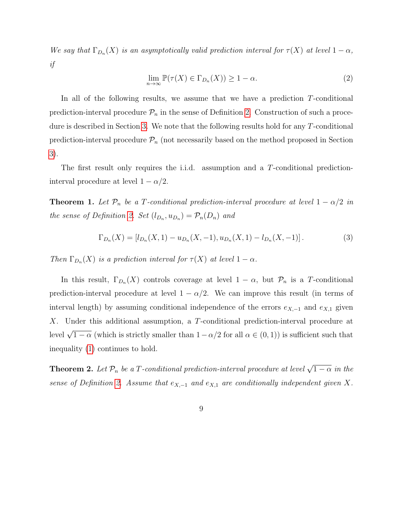We say that  $\Gamma_{D_n}(X)$  is an asymptotically valid prediction interval for  $\tau(X)$  at level  $1-\alpha$ , if

$$
\lim_{n \to \infty} \mathbb{P}(\tau(X) \in \Gamma_{D_n}(X)) \ge 1 - \alpha.
$$
 (2)

In all of the following results, we assume that we have a prediction T-conditional prediction-interval procedure  $\mathcal{P}_n$  in the sense of Definition [2.](#page-7-0) Construction of such a procedure is described in Section [3.](#page-10-0) We note that the following results hold for any T-conditional prediction-interval procedure  $\mathcal{P}_n$  (not necessarily based on the method proposed in Section [3\)](#page-10-0).

The first result only requires the i.i.d. assumption and a T-conditional predictioninterval procedure at level  $1 - \alpha/2$ .

<span id="page-8-0"></span>**Theorem 1.** Let  $\mathcal{P}_n$  be a T-conditional prediction-interval procedure at level  $1 - \alpha/2$  in the sense of Definition [2.](#page-7-0) Set  $(l_{D_n}, u_{D_n}) = \mathcal{P}_n(D_n)$  and

<span id="page-8-2"></span>
$$
\Gamma_{D_n}(X) = [l_{D_n}(X, 1) - u_{D_n}(X, -1), u_{D_n}(X, 1) - l_{D_n}(X, -1)].
$$
\n(3)

Then  $\Gamma_{D_n}(X)$  is a prediction interval for  $\tau(X)$  at level  $1-\alpha$ .

In this result,  $\Gamma_{D_n}(X)$  controls coverage at level  $1 - \alpha$ , but  $\mathcal{P}_n$  is a T-conditional prediction-interval procedure at level  $1 - \alpha/2$ . We can improve this result (in terms of interval length) by assuming conditional independence of the errors  $e_{X,-1}$  and  $e_{X,1}$  given X. Under this additional assumption, a T-conditional prediction-interval procedure at level  $\sqrt{1-\alpha}$  (which is strictly smaller than  $1-\alpha/2$  for all  $\alpha \in (0,1)$ ) is sufficient such that inequality [\(1\)](#page-7-1) continues to hold.

<span id="page-8-1"></span>**Theorem 2.** Let  $\mathcal{P}_n$  be a T-conditional prediction-interval procedure at level  $\sqrt{1-\alpha}$  in the sense of Definition [2.](#page-7-0) Assume that  $e_{X,-1}$  and  $e_{X,1}$  are conditionally independent given X.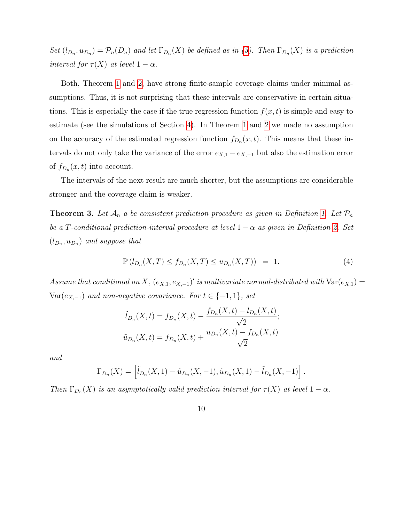Set  $(l_{D_n}, u_{D_n}) = \mathcal{P}_n(D_n)$  and let  $\Gamma_{D_n}(X)$  be defined as in [\(3\)](#page-8-2). Then  $\Gamma_{D_n}(X)$  is a prediction interval for  $\tau(X)$  at level  $1 - \alpha$ .

Both, Theorem [1](#page-8-0) and [2,](#page-8-1) have strong finite-sample coverage claims under minimal assumptions. Thus, it is not surprising that these intervals are conservative in certain situations. This is especially the case if the true regression function  $f(x, t)$  is simple and easy to estimate (see the simulations of Section [4\)](#page-14-0). In Theorem [1](#page-8-0) and [2](#page-8-1) we made no assumption on the accuracy of the estimated regression function  $f_{D_n}(x,t)$ . This means that these intervals do not only take the variance of the error  $e_{X,1} - e_{X,-1}$  but also the estimation error of  $f_{D_n}(x,t)$  into account.

The intervals of the next result are much shorter, but the assumptions are considerable stronger and the coverage claim is weaker.

<span id="page-9-0"></span>**Theorem 3.** Let  $A_n$  a be consistent prediction procedure as given in Definition [1.](#page-5-0) Let  $\mathcal{P}_n$ be a T-conditional prediction-interval procedure at level  $1 - \alpha$  as given in Definition [2.](#page-7-0) Set  $(l_{D_n}, u_{D_n})$  and suppose that

<span id="page-9-1"></span>
$$
\mathbb{P}\left(l_{D_n}(X,T) \le f_{D_n}(X,T)\le u_{D_n}(X,T)\right) = 1.
$$
\n(4)

Assume that conditional on X,  $(e_{X,1}, e_{X,-1})'$  is multivariate normal-distributed with  $Var(e_{X,1}) =$  $Var(e_{X,-1})$  and non-negative covariance. For  $t \in \{-1,1\}$ , set

$$
\tilde{l}_{D_n}(X,t) = f_{D_n}(X,t) - \frac{f_{D_n}(X,t) - l_{D_n}(X,t)}{\sqrt{2}};
$$
  

$$
\tilde{u}_{D_n}(X,t) = f_{D_n}(X,t) + \frac{u_{D_n}(X,t) - f_{D_n}(X,t)}{\sqrt{2}}
$$

and

$$
\Gamma_{D_n}(X) = \left[ \tilde{l}_{D_n}(X,1) - \tilde{u}_{D_n}(X,-1), \tilde{u}_{D_n}(X,1) - \tilde{l}_{D_n}(X,-1) \right].
$$

Then  $\Gamma_{D_n}(X)$  is an asymptotically valid prediction interval for  $\tau(X)$  at level  $1-\alpha$ .

10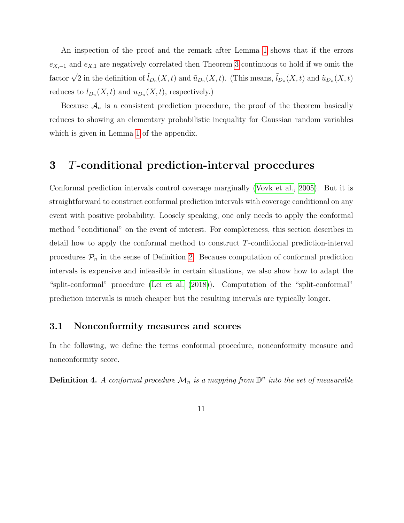An inspection of the proof and the remark after Lemma [1](#page-22-0) shows that if the errors  $e_{X,-1}$  and  $e_{X,1}$  are negatively correlated then Theorem [3](#page-9-0) continuous to hold if we omit the factor  $\sqrt{2}$  in the definition of  $\tilde{l}_{D_n}(X,t)$  and  $\tilde{u}_{D_n}(X,t)$ . (This means,  $\tilde{l}_{D_n}(X,t)$  and  $\tilde{u}_{D_n}(X,t)$ reduces to  $l_{D_n}(X,t)$  and  $u_{D_n}(X,t)$ , respectively.)

Because  $\mathcal{A}_n$  is a consistent prediction procedure, the proof of the theorem basically reduces to showing an elementary probabilistic inequality for Gaussian random variables which is given in Lemma [1](#page-22-0) of the appendix.

## <span id="page-10-0"></span>3 T-conditional prediction-interval procedures

Conformal prediction intervals control coverage marginally [\(Vovk et al., 2005\)](#page-31-0). But it is straightforward to construct conformal prediction intervals with coverage conditional on any event with positive probability. Loosely speaking, one only needs to apply the conformal method "conditional" on the event of interest. For completeness, this section describes in detail how to apply the conformal method to construct T-conditional prediction-interval procedures  $P_n$  in the sense of Definition [2.](#page-7-0) Because computation of conformal prediction intervals is expensive and infeasible in certain situations, we also show how to adapt the "split-conformal" procedure [\(Lei et al. \(2018\)](#page-30-5)). Computation of the "split-conformal" prediction intervals is much cheaper but the resulting intervals are typically longer.

### 3.1 Nonconformity measures and scores

In the following, we define the terms conformal procedure, nonconformity measure and nonconformity score.

<span id="page-10-1"></span>**Definition 4.** A conformal procedure  $\mathcal{M}_n$  is a mapping from  $\mathbb{D}^n$  into the set of measurable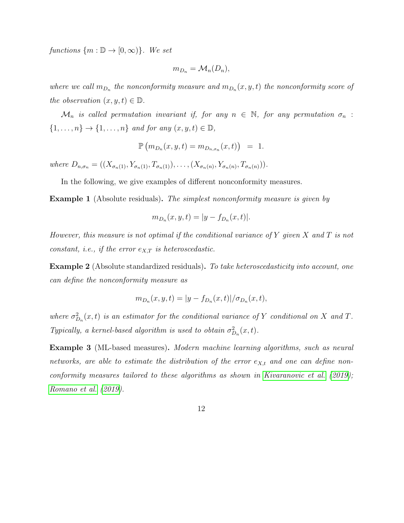functions  $\{m : \mathbb{D} \to [0, \infty)\}\$ . We set

$$
m_{D_n} = \mathcal{M}_n(D_n),
$$

where we call  $m_{D_n}$  the nonconformity measure and  $m_{D_n}(x, y, t)$  the nonconformity score of the observation  $(x, y, t) \in \mathbb{D}$ .

 $\mathcal{M}_n$  is called permutation invariant if, for any  $n \in \mathbb{N}$ , for any permutation  $\sigma_n$ :  $\{1,\ldots,n\}$   $\rightarrow$   $\{1,\ldots,n\}$  and for any  $(x,y,t) \in \mathbb{D}$ ,

$$
\mathbb{P}\left(m_{D_n}(x,y,t)=m_{D_{n,\sigma_n}}(x,t)\right) = 1.
$$

where  $D_{n,\sigma_n} = ((X_{\sigma_n(1)}, Y_{\sigma_n(1)}, T_{\sigma_n(1)}), \ldots, (X_{\sigma_n(n)}, Y_{\sigma_n(n)}, T_{\sigma_n(n)})).$ 

In the following, we give examples of different nonconformity measures.

Example 1 (Absolute residuals). The simplest nonconformity measure is given by

$$
m_{D_n}(x, y, t) = |y - f_{D_n}(x, t)|.
$$

However, this measure is not optimal if the conditional variance of Y given X and T is not constant, i.e., if the error  $e_{X,T}$  is heteroscedastic.

Example 2 (Absolute standardized residuals). To take heteroscedasticity into account, one can define the nonconformity measure as

$$
m_{D_n}(x, y, t) = |y - f_{D_n}(x, t)| / \sigma_{D_n}(x, t),
$$

where  $\sigma_{D_n}^2(x,t)$  is an estimator for the conditional variance of Y conditional on X and T. Typically, a kernel-based algorithm is used to obtain  $\sigma_{D_n}^2(x,t)$ .

Example 3 (ML-based measures). Modern machine learning algorithms, such as neural networks, are able to estimate the distribution of the error  $e_{X,t}$  and one can define nonconformity measures tailored to these algorithms as shown in [Kivaranovic et al.](#page-30-6) [\(2019\)](#page-30-6); [Romano et al.](#page-30-7) [\(2019\)](#page-30-7).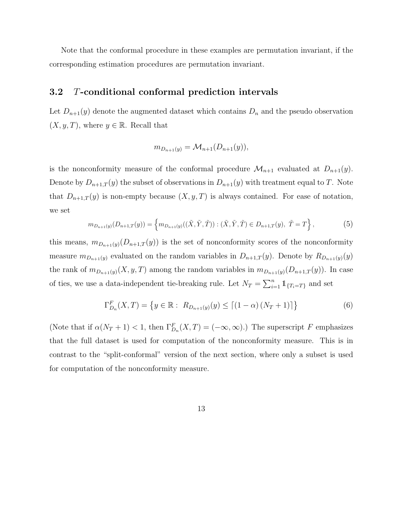Note that the conformal procedure in these examples are permutation invariant, if the corresponding estimation procedures are permutation invariant.

#### <span id="page-12-2"></span>3.2 T-conditional conformal prediction intervals

Let  $D_{n+1}(y)$  denote the augmented dataset which contains  $D_n$  and the pseudo observation  $(X, y, T)$ , where  $y \in \mathbb{R}$ . Recall that

$$
m_{D_{n+1}(y)} = \mathcal{M}_{n+1}(D_{n+1}(y)),
$$

is the nonconformity measure of the conformal procedure  $\mathcal{M}_{n+1}$  evaluated at  $D_{n+1}(y)$ . Denote by  $D_{n+1,T}(y)$  the subset of observations in  $D_{n+1}(y)$  with treatment equal to T. Note that  $D_{n+1,T}(y)$  is non-empty because  $(X, y, T)$  is always contained. For ease of notation, we set

<span id="page-12-1"></span>
$$
m_{D_{n+1}(y)}(D_{n+1,T}(y)) = \left\{ m_{D_{n+1}(y)}((\tilde{X}, \tilde{Y}, \tilde{T})) : (\tilde{X}, \tilde{Y}, \tilde{T}) \in D_{n+1,T}(y), \ \tilde{T} = T \right\},\tag{5}
$$

this means,  $m_{D_{n+1}(y)}(D_{n+1,T}(y))$  is the set of nonconformity scores of the nonconformity measure  $m_{D_{n+1}(y)}$  evaluated on the random variables in  $D_{n+1,T}(y)$ . Denote by  $R_{D_{n+1}(y)}(y)$ the rank of  $m_{D_{n+1}(y)}(X, y, T)$  among the random variables in  $m_{D_{n+1}(y)}(D_{n+1,T}(y))$ . In case of ties, we use a data-independent tie-breaking rule. Let  $N_T = \sum_{i=1}^n \mathbb{1}_{\{T_i = T\}}$  and set

<span id="page-12-0"></span>
$$
\Gamma_{D_n}^F(X,T) = \{ y \in \mathbb{R} : R_{D_{n+1}(y)}(y) \le [(1-\alpha) (N_T + 1)] \}
$$
\n(6)

(Note that if  $\alpha(N_T+1) < 1$ , then  $\Gamma_{D_n}^F(X,T) = (-\infty,\infty)$ .) The superscript F emphasizes that the full dataset is used for computation of the nonconformity measure. This is in contrast to the "split-conformal" version of the next section, where only a subset is used for computation of the nonconformity measure.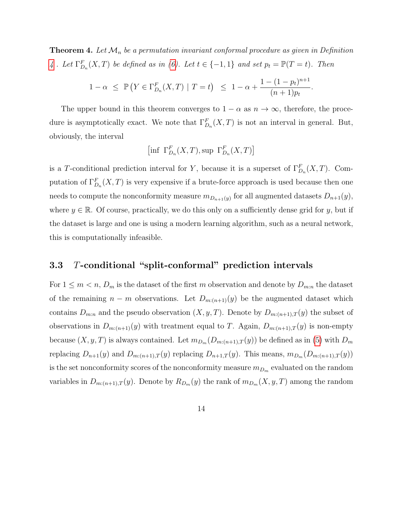<span id="page-13-1"></span>**Theorem 4.** Let  $\mathcal{M}_n$  be a permutation invariant conformal procedure as given in Definition [4](#page-10-1). Let  $\Gamma_{D_n}^F(X,T)$  be defined as in [\(6\)](#page-12-0). Let  $t \in \{-1,1\}$  and set  $p_t = \mathbb{P}(T = t)$ . Then

$$
1 - \alpha \leq \mathbb{P}\left(Y \in \Gamma_{D_n}^F(X, T) \mid T = t\right) \leq 1 - \alpha + \frac{1 - (1 - p_t)^{n+1}}{(n+1)p_t}.
$$

The upper bound in this theorem converges to  $1 - \alpha$  as  $n \to \infty$ , therefore, the procedure is asymptotically exact. We note that  $\Gamma_{D_n}^F(X,T)$  is not an interval in general. But, obviously, the interval

$$
\left[\inf \; \Gamma_{D_n}^F(X, T), \sup \; \Gamma_{D_n}^F(X, T)\right]
$$

is a T-conditional prediction interval for Y, because it is a superset of  $\Gamma_{D_n}^F(X,T)$ . Computation of  $\Gamma_{D_n}^F(X,T)$  is very expensive if a brute-force approach is used because then one needs to compute the nonconformity measure  $m_{D_{n+1}(y)}$  for all augmented datasets  $D_{n+1}(y)$ , where  $y \in \mathbb{R}$ . Of course, practically, we do this only on a sufficiently dense grid for y, but if the dataset is large and one is using a modern learning algorithm, such as a neural network, this is computationally infeasible.

#### <span id="page-13-0"></span>3.3 T-conditional "split-conformal" prediction intervals

For  $1 \leq m < n$ ,  $D_m$  is the dataset of the first m observation and denote by  $D_{m:n}$  the dataset of the remaining  $n - m$  observations. Let  $D_{m:(n+1)}(y)$  be the augmented dataset which contains  $D_{m:n}$  and the pseudo observation  $(X, y, T)$ . Denote by  $D_{m:(n+1),T}(y)$  the subset of observations in  $D_{m:(n+1)}(y)$  with treatment equal to T. Again,  $D_{m:(n+1),T}(y)$  is non-empty because  $(X, y, T)$  is always contained. Let  $m_{D_m}(D_{m:(n+1),T}(y))$  be defined as in [\(5\)](#page-12-1) with  $D_m$ replacing  $D_{n+1}(y)$  and  $D_{m:(n+1),T}(y)$  replacing  $D_{n+1,T}(y)$ . This means,  $m_{D_m}(D_{m:(n+1),T}(y))$ is the set nonconformity scores of the nonconformity measure  $m_{D_m}$  evaluated on the random variables in  $D_{m:(n+1),T}(y)$ . Denote by  $R_{D_m}(y)$  the rank of  $m_{D_m}(X, y, T)$  among the random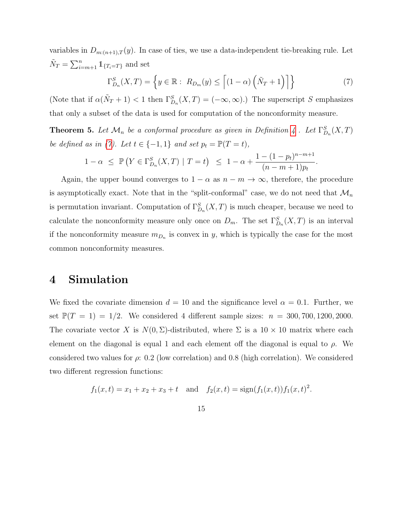variables in  $D_{m:(n+1),T}(y)$ . In case of ties, we use a data-independent tie-breaking rule. Let  $\tilde{N}_T = \sum_{i=m+1}^n \mathbb{1}_{\{T_i = T\}}$  and set

<span id="page-14-1"></span>
$$
\Gamma_{D_n}^S(X,T) = \left\{ y \in \mathbb{R} : R_{D_m}(y) \le \left[ (1-\alpha) \left( \tilde{N}_T + 1 \right) \right] \right\} \tag{7}
$$

(Note that if  $\alpha(\tilde{N}_T + 1) < 1$  then  $\Gamma_{D_n}^S(X,T) = (-\infty,\infty)$ .) The superscript S emphasizes that only a subset of the data is used for computation of the nonconformity measure.

<span id="page-14-2"></span>**Theorem 5.** Let  $\mathcal{M}_n$  be a conformal procedure as given in Definition [4](#page-10-1). Let  $\Gamma_{D_n}^S(X,T)$ be defined as in [\(7\)](#page-14-1). Let  $t \in \{-1, 1\}$  and set  $p_t = \mathbb{P}(T = t)$ ,

$$
1 - \alpha \leq \mathbb{P}\left(Y \in \Gamma_{D_n}^S(X, T) \mid T = t\right) \leq 1 - \alpha + \frac{1 - (1 - p_t)^{n - m + 1}}{(n - m + 1)p_t}.
$$

Again, the upper bound converges to  $1 - \alpha$  as  $n - m \rightarrow \infty$ , therefore, the procedure is asymptotically exact. Note that in the "split-conformal" case, we do not need that  $\mathcal{M}_n$ is permutation invariant. Computation of  $\Gamma_{D_n}^S(X,T)$  is much cheaper, because we need to calculate the nonconformity measure only once on  $D_m$ . The set  $\Gamma_{D_n}^S(X,T)$  is an interval if the nonconformity measure  $m_{D_n}$  is convex in y, which is typically the case for the most common nonconformity measures.

## <span id="page-14-0"></span>4 Simulation

We fixed the covariate dimension  $d = 10$  and the significance level  $\alpha = 0.1$ . Further, we set  $\mathbb{P}(T = 1) = 1/2$ . We considered 4 different sample sizes:  $n = 300, 700, 1200, 2000$ . The covariate vector X is  $N(0, \Sigma)$ -distributed, where  $\Sigma$  is a  $10 \times 10$  matrix where each element on the diagonal is equal 1 and each element off the diagonal is equal to  $\rho$ . We considered two values for  $\rho$ : 0.2 (low correlation) and 0.8 (high correlation). We considered two different regression functions:

$$
f_1(x,t) = x_1 + x_2 + x_3 + t
$$
 and  $f_2(x,t) = sign(f_1(x,t))f_1(x,t)^2$ .

15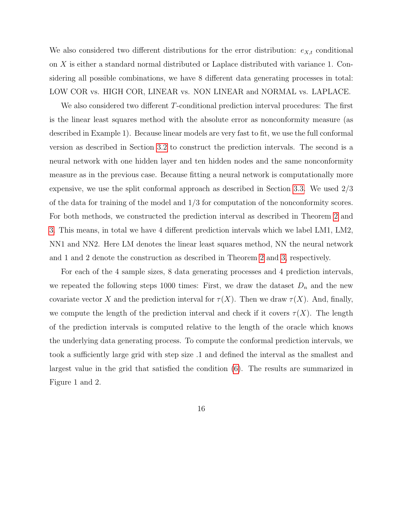We also considered two different distributions for the error distribution:  $e_{X,t}$  conditional on X is either a standard normal distributed or Laplace distributed with variance 1. Considering all possible combinations, we have 8 different data generating processes in total: LOW COR vs. HIGH COR, LINEAR vs. NON LINEAR and NORMAL vs. LAPLACE.

We also considered two different T-conditional prediction interval procedures: The first is the linear least squares method with the absolute error as nonconformity measure (as described in Example 1). Because linear models are very fast to fit, we use the full conformal version as described in Section [3.2](#page-12-2) to construct the prediction intervals. The second is a neural network with one hidden layer and ten hidden nodes and the same nonconformity measure as in the previous case. Because fitting a neural network is computationally more expensive, we use the split conformal approach as described in Section [3.3.](#page-13-0) We used 2/3 of the data for training of the model and 1/3 for computation of the nonconformity scores. For both methods, we constructed the prediction interval as described in Theorem [2](#page-8-1) and [3.](#page-9-0) This means, in total we have 4 different prediction intervals which we label LM1, LM2, NN1 and NN2. Here LM denotes the linear least squares method, NN the neural network and 1 and 2 denote the construction as described in Theorem [2](#page-8-1) and [3,](#page-9-0) respectively.

For each of the 4 sample sizes, 8 data generating processes and 4 prediction intervals, we repeated the following steps 1000 times: First, we draw the dataset  $D_n$  and the new covariate vector X and the prediction interval for  $\tau(X)$ . Then we draw  $\tau(X)$ . And, finally, we compute the length of the prediction interval and check if it covers  $\tau(X)$ . The length of the prediction intervals is computed relative to the length of the oracle which knows the underlying data generating process. To compute the conformal prediction intervals, we took a sufficiently large grid with step size .1 and defined the interval as the smallest and largest value in the grid that satisfied the condition [\(6\)](#page-12-0). The results are summarized in Figure 1 and 2.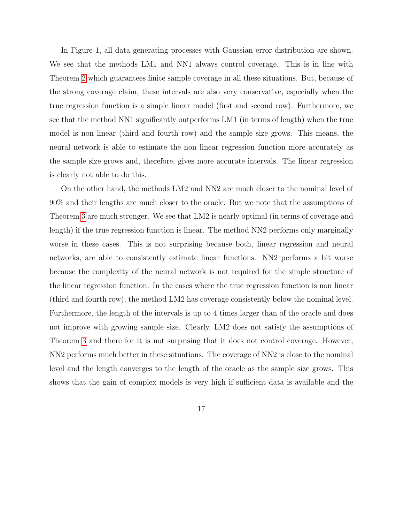In Figure 1, all data generating processes with Gaussian error distribution are shown. We see that the methods LM1 and NN1 always control coverage. This is in line with Theorem [2](#page-8-1) which guarantees finite sample coverage in all these situations. But, because of the strong coverage claim, these intervals are also very conservative, especially when the true regression function is a simple linear model (first and second row). Furthermore, we see that the method NN1 significantly outperforms LM1 (in terms of length) when the true model is non linear (third and fourth row) and the sample size grows. This means, the neural network is able to estimate the non linear regression function more accurately as the sample size grows and, therefore, gives more accurate intervals. The linear regression is clearly not able to do this.

On the other hand, the methods LM2 and NN2 are much closer to the nominal level of 90% and their lengths are much closer to the oracle. But we note that the assumptions of Theorem [3](#page-9-0) are much stronger. We see that LM2 is nearly optimal (in terms of coverage and length) if the true regression function is linear. The method NN2 performs only marginally worse in these cases. This is not surprising because both, linear regression and neural networks, are able to consistently estimate linear functions. NN2 performs a bit worse because the complexity of the neural network is not required for the simple structure of the linear regression function. In the cases where the true regression function is non linear (third and fourth row), the method LM2 has coverage consistently below the nominal level. Furthermore, the length of the intervals is up to 4 times larger than of the oracle and does not improve with growing sample size. Clearly, LM2 does not satisfy the assumptions of Theorem [3](#page-9-0) and there for it is not surprising that it does not control coverage. However, NN2 performs much better in these situations. The coverage of NN2 is close to the nominal level and the length converges to the length of the oracle as the sample size grows. This shows that the gain of complex models is very high if sufficient data is available and the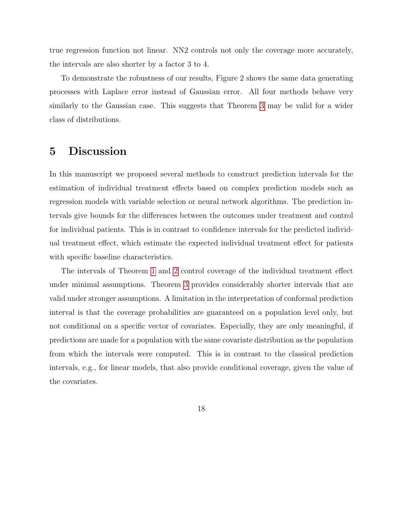true regression function not linear. NN2 controls not only the coverage more accurately, the intervals are also shorter by a factor 3 to 4.

To demonstrate the robustness of our results, Figure 2 shows the same data generating processes with Laplace error instead of Gaussian error. All four methods behave very similarly to the Gaussian case. This suggests that Theorem [3](#page-9-0) may be valid for a wider class of distributions.

# <span id="page-17-0"></span>5 Discussion

In this manuscript we proposed several methods to construct prediction intervals for the estimation of individual treatment effects based on complex prediction models such as regression models with variable selection or neural network algorithms. The prediction intervals give bounds for the differences between the outcomes under treatment and control for individual patients. This is in contrast to confidence intervals for the predicted individual treatment effect, which estimate the expected individual treatment effect for patients with specific baseline characteristics.

The intervals of Theorem [1](#page-8-0) and [2](#page-8-1) control coverage of the individual treatment effect under minimal assumptions. Theorem [3](#page-9-0) provides considerably shorter intervals that are valid under stronger assumptions. A limitation in the interpretation of conformal prediction interval is that the coverage probabilities are guaranteed on a population level only, but not conditional on a specific vector of covariates. Especially, they are only meaningful, if predictions are made for a population with the same covariate distribution as the population from which the intervals were computed. This is in contrast to the classical prediction intervals, e.g., for linear models, that also provide conditional coverage, given the value of the covariates.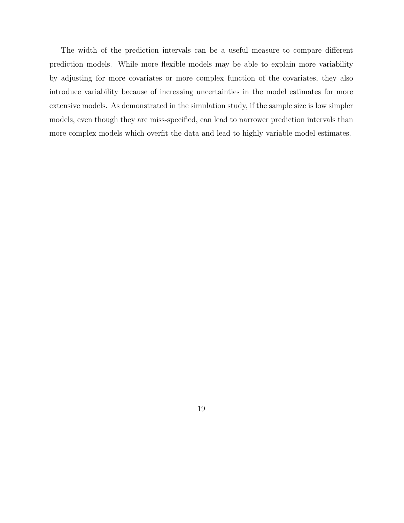The width of the prediction intervals can be a useful measure to compare different prediction models. While more flexible models may be able to explain more variability by adjusting for more covariates or more complex function of the covariates, they also introduce variability because of increasing uncertainties in the model estimates for more extensive models. As demonstrated in the simulation study, if the sample size is low simpler models, even though they are miss-specified, can lead to narrower prediction intervals than more complex models which overfit the data and lead to highly variable model estimates.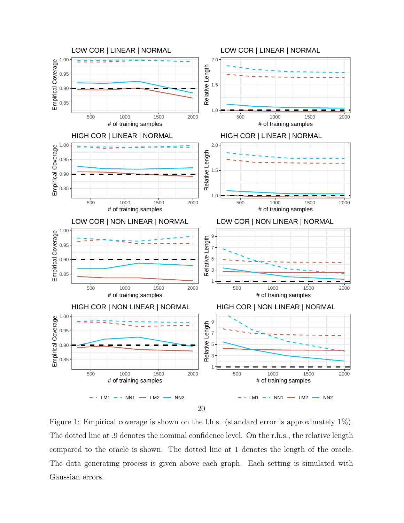

Figure 1: Empirical coverage is shown on the l.h.s. (standard error is approximately 1%). The dotted line at .9 denotes the nominal confidence level. On the r.h.s., the relative length compared to the oracle is shown. The dotted line at 1 denotes the length of the oracle. The data generating process is given above each graph. Each setting is simulated with Gaussian errors.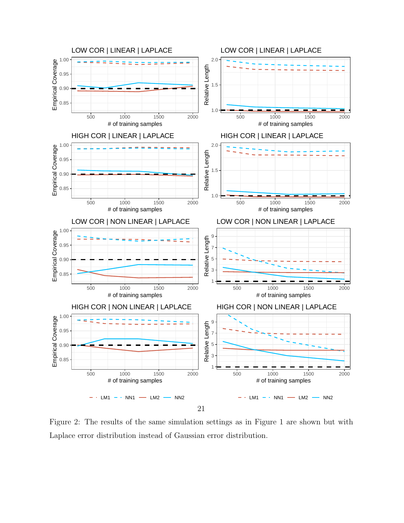

Figure 2: The results of the same simulation settings as in Figure 1 are shown but with Laplace error distribution instead of Gaussian error distribution.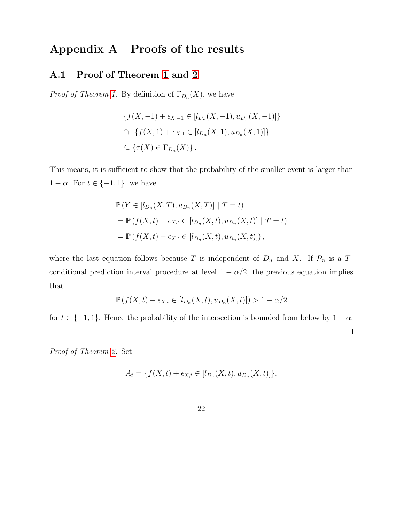# Appendix A Proofs of the results

## A.1 Proof of Theorem [1](#page-8-0) and [2](#page-8-1)

*Proof of Theorem [1.](#page-8-0)* By definition of  $\Gamma_{D_n}(X)$ , we have

$$
\{f(X, -1) + \epsilon_{X, -1} \in [l_{D_n}(X, -1), u_{D_n}(X, -1)]\}
$$
  

$$
\cap \{f(X, 1) + \epsilon_{X, 1} \in [l_{D_n}(X, 1), u_{D_n}(X, 1)]\}
$$
  

$$
\subseteq \{\tau(X) \in \Gamma_{D_n}(X)\}.
$$

This means, it is sufficient to show that the probability of the smaller event is larger than  $1 - \alpha$ . For  $t \in \{-1, 1\}$ , we have

$$
\mathbb{P}\left(Y \in [l_{D_n}(X,T), u_{D_n}(X,T)] \mid T = t\right)
$$
  
= 
$$
\mathbb{P}\left(f(X,t) + \epsilon_{X,t} \in [l_{D_n}(X,t), u_{D_n}(X,t)] \mid T = t\right)
$$
  
= 
$$
\mathbb{P}\left(f(X,t) + \epsilon_{X,t} \in [l_{D_n}(X,t), u_{D_n}(X,t)]\right),
$$

where the last equation follows because T is independent of  $D_n$  and X. If  $\mathcal{P}_n$  is a Tconditional prediction interval procedure at level  $1 - \alpha/2$ , the previous equation implies that

$$
\mathbb{P}\left(f(X,t) + \epsilon_{X,t} \in [l_{D_n}(X,t), u_{D_n}(X,t)]\right) > 1 - \alpha/2
$$

for  $t \in \{-1, 1\}$ . Hence the probability of the intersection is bounded from below by  $1 - \alpha$ .  $\Box$ 

Proof of Theorem [2.](#page-8-1) Set

$$
A_t = \{ f(X, t) + \epsilon_{X,t} \in [l_{D_n}(X, t), u_{D_n}(X, t)] \}.
$$

22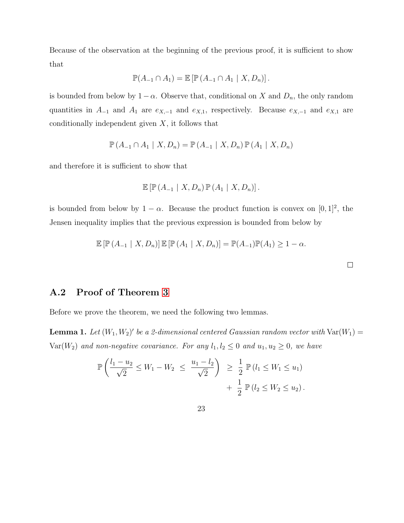Because of the observation at the beginning of the previous proof, it is sufficient to show that

$$
\mathbb{P}(A_{-1}\cap A_1)=\mathbb{E}\left[\mathbb{P}\left(A_{-1}\cap A_1\mid X,D_n\right)\right].
$$

is bounded from below by  $1 - \alpha$ . Observe that, conditional on X and  $D_n$ , the only random quantities in  $A_{-1}$  and  $A_1$  are  $e_{X,-1}$  and  $e_{X,1}$ , respectively. Because  $e_{X,-1}$  and  $e_{X,1}$  are conditionally independent given  $X$ , it follows that

$$
\mathbb{P}\left(A_{-1}\cap A_1\mid X,D_n\right)=\mathbb{P}\left(A_{-1}\mid X,D_n\right)\mathbb{P}\left(A_1\mid X,D_n\right)
$$

and therefore it is sufficient to show that

$$
\mathbb{E}\left[\mathbb{P}\left(A_{-1} \mid X, D_n\right) \mathbb{P}\left(A_1 \mid X, D_n\right)\right].
$$

is bounded from below by  $1 - \alpha$ . Because the product function is convex on [0, 1]<sup>2</sup>, the Jensen inequality implies that the previous expression is bounded from below by

$$
\mathbb{E}\left[\mathbb{P}\left(A_{-1} \mid X, D_n\right)\right] \mathbb{E}\left[\mathbb{P}\left(A_1 \mid X, D_n\right)\right] = \mathbb{P}(A_{-1})\mathbb{P}(A_1) \geq 1 - \alpha.
$$

 $\Box$ 

## A.2 Proof of Theorem [3](#page-9-0)

Before we prove the theorem, we need the following two lemmas.

<span id="page-22-0"></span>**Lemma 1.** Let  $(W_1, W_2)'$  be a 2-dimensional centered Gaussian random vector with  $Var(W_1)$  = Var( $W_2$ ) and non-negative covariance. For any  $l_1, l_2 \leq 0$  and  $u_1, u_2 \geq 0$ , we have

$$
\mathbb{P}\left(\frac{l_1 - u_2}{\sqrt{2}} \le W_1 - W_2 \le \frac{u_1 - l_2}{\sqrt{2}}\right) \ge \frac{1}{2} \mathbb{P}\left(l_1 \le W_1 \le u_1\right) + \frac{1}{2} \mathbb{P}\left(l_2 \le W_2 \le u_2\right).
$$

23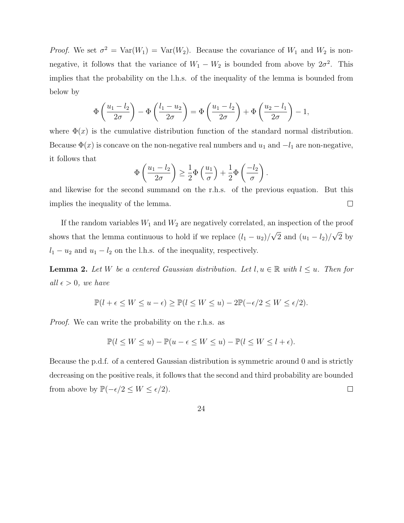*Proof.* We set  $\sigma^2 = \text{Var}(W_1) = \text{Var}(W_2)$ . Because the covariance of  $W_1$  and  $W_2$  is nonnegative, it follows that the variance of  $W_1 - W_2$  is bounded from above by  $2\sigma^2$ . This implies that the probability on the l.h.s. of the inequality of the lemma is bounded from below by

$$
\Phi\left(\frac{u_1 - l_2}{2\sigma}\right) - \Phi\left(\frac{l_1 - u_2}{2\sigma}\right) = \Phi\left(\frac{u_1 - l_2}{2\sigma}\right) + \Phi\left(\frac{u_2 - l_1}{2\sigma}\right) - 1,
$$

where  $\Phi(x)$  is the cumulative distribution function of the standard normal distribution. Because  $\Phi(x)$  is concave on the non-negative real numbers and  $u_1$  and  $-l_1$  are non-negative, it follows that

$$
\Phi\left(\frac{u_1 - l_2}{2\sigma}\right) \ge \frac{1}{2}\Phi\left(\frac{u_1}{\sigma}\right) + \frac{1}{2}\Phi\left(\frac{-l_2}{\sigma}\right).
$$

and likewise for the second summand on the r.h.s. of the previous equation. But this implies the inequality of the lemma.  $\Box$ 

If the random variables  $W_1$  and  $W_2$  are negatively correlated, an inspection of the proof shows that the lemma continuous to hold if we replace  $(l_1 - u_2)$ / √ 2 and  $(u_1 - l_2)$ / √ 2 by  $l_1 - u_2$  and  $u_1 - l_2$  on the l.h.s. of the inequality, respectively.

<span id="page-23-0"></span>**Lemma 2.** Let W be a centered Gaussian distribution. Let  $l, u \in \mathbb{R}$  with  $l \leq u$ . Then for all  $\epsilon > 0$ , we have

$$
\mathbb{P}(l+\epsilon \le W \le u-\epsilon) \ge \mathbb{P}(l \le W \le u) - 2\mathbb{P}(-\epsilon/2 \le W \le \epsilon/2).
$$

Proof. We can write the probability on the r.h.s. as

$$
\mathbb{P}(l \le W \le u) - \mathbb{P}(u - \epsilon \le W \le u) - \mathbb{P}(l \le W \le l + \epsilon).
$$

Because the p.d.f. of a centered Gaussian distribution is symmetric around 0 and is strictly decreasing on the positive reals, it follows that the second and third probability are bounded from above by  $\mathbb{P}(-\epsilon/2 \leq W \leq \epsilon/2)$ .  $\Box$ 

24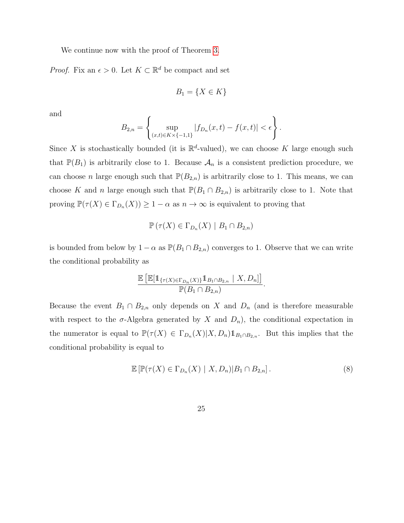We continue now with the proof of Theorem [3.](#page-9-0)

*Proof.* Fix an  $\epsilon > 0$ . Let  $K \subset \mathbb{R}^d$  be compact and set

$$
B_1 = \{ X \in K \}
$$

and

$$
B_{2,n} = \left\{ \sup_{(x,t) \in K \times \{-1,1\}} |f_{D_n}(x,t) - f(x,t)| < \epsilon \right\}.
$$

Since X is stochastically bounded (it is  $\mathbb{R}^d$ -valued), we can choose K large enough such that  $\mathbb{P}(B_1)$  is arbitrarily close to 1. Because  $\mathcal{A}_n$  is a consistent prediction procedure, we can choose n large enough such that  $\mathbb{P}(B_{2,n})$  is arbitrarily close to 1. This means, we can choose K and n large enough such that  $\mathbb{P}(B_1 \cap B_{2,n})$  is arbitrarily close to 1. Note that proving  $\mathbb{P}(\tau(X) \in \Gamma_{D_n}(X)) \geq 1 - \alpha$  as  $n \to \infty$  is equivalent to proving that

$$
\mathbb{P}(\tau(X) \in \Gamma_{D_n}(X) \mid B_1 \cap B_{2,n})
$$

is bounded from below by  $1 - \alpha$  as  $\mathbb{P}(B_1 \cap B_{2,n})$  converges to 1. Observe that we can write the conditional probability as

$$
\frac{\mathbb{E}\left[\mathbb{E}[\mathbb{1}_{\{\tau(X)\in\Gamma_{D_n}(X)\}}\mathbb{1}_{B_1\cap B_{2,n}}\mid X,D_n]\right]}{\mathbb{P}(B_1\cap B_{2,n})}.
$$

Because the event  $B_1 \cap B_{2,n}$  only depends on X and  $D_n$  (and is therefore measurable with respect to the  $\sigma$ -Algebra generated by X and  $D_n$ ), the conditional expectation in the numerator is equal to  $\mathbb{P}(\tau(X) \in \Gamma_{D_n}(X) | X, D_n) \mathbb{1}_{B_1 \cap B_{2,n}}$ . But this implies that the conditional probability is equal to

<span id="page-24-0"></span>
$$
\mathbb{E}\left[\mathbb{P}(\tau(X)\in\Gamma_{D_n}(X)\mid X,D_n)|B_1\cap B_{2,n}\right].\tag{8}
$$

25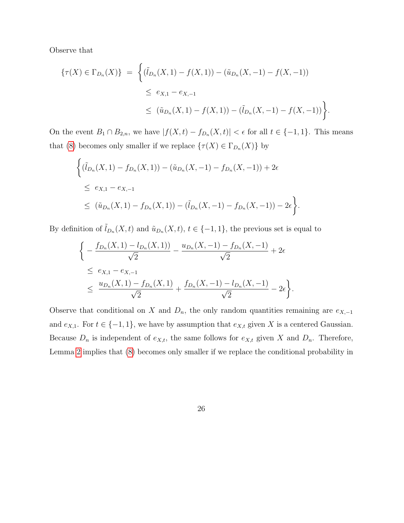Observe that

$$
\{\tau(X) \in \Gamma_{D_n}(X)\} = \left\{ (\tilde{l}_{D_n}(X,1) - f(X,1)) - (\tilde{u}_{D_n}(X,-1) - f(X,-1)) \right\}
$$
  

$$
\leq e_{X,1} - e_{X,-1}
$$
  

$$
\leq (\tilde{u}_{D_n}(X,1) - f(X,1)) - (\tilde{l}_{D_n}(X,-1) - f(X,-1)) \right\}.
$$

On the event  $B_1 \cap B_{2,n}$ , we have  $|f(X,t) - f_{D_n}(X,t)| < \epsilon$  for all  $t \in \{-1,1\}$ . This means that [\(8\)](#page-24-0) becomes only smaller if we replace  $\{\tau(X) \in \Gamma_{D_n}(X)\}\$  by

$$
\begin{aligned} & \left\{ (\tilde{t}_{D_n}(X,1) - f_{D_n}(X,1)) - (\tilde{u}_{D_n}(X,-1) - f_{D_n}(X,-1)) + 2\epsilon \right. \\ &\leq e_{X,1} - e_{X,-1} \\ &\leq (\tilde{u}_{D_n}(X,1) - f_{D_n}(X,1)) - (\tilde{t}_{D_n}(X,-1) - f_{D_n}(X,-1)) - 2\epsilon \right\}. \end{aligned}
$$

By definition of  $\tilde{t}_{D_n}(X,t)$  and  $\tilde{u}_{D_n}(X,t)$ ,  $t \in \{-1,1\}$ , the previous set is equal to

$$
\begin{aligned}\n&\left\{-\frac{f_{D_n}(X,1) - l_{D_n}(X,1))}{\sqrt{2}} - \frac{u_{D_n}(X,-1) - f_{D_n}(X,-1)}{\sqrt{2}} + 2\epsilon \\
&\leq e_{X,1} - e_{X,-1} \\
&\leq \frac{u_{D_n}(X,1) - f_{D_n}(X,1)}{\sqrt{2}} + \frac{f_{D_n}(X,-1) - l_{D_n}(X,-1)}{\sqrt{2}} - 2\epsilon\right\}.\n\end{aligned}
$$

Observe that conditional on X and  $D_n$ , the only random quantities remaining are  $e_{X,-1}$ and  $e_{X,1}$ . For  $t \in \{-1,1\}$ , we have by assumption that  $e_{X,t}$  given X is a centered Gaussian. Because  $D_n$  is independent of  $e_{X,t}$ , the same follows for  $e_{X,t}$  given X and  $D_n$ . Therefore, Lemma [2](#page-23-0) implies that [\(8\)](#page-24-0) becomes only smaller if we replace the conditional probability in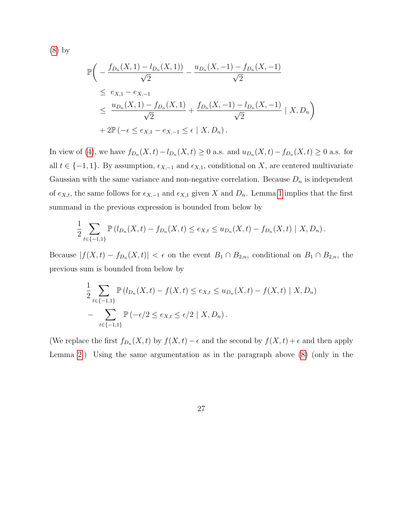[\(8\)](#page-24-0) by

$$
\mathbb{P}\left(-\frac{f_{D_n}(X,1) - l_{D_n}(X,1))}{\sqrt{2}} - \frac{u_{D_n}(X,-1) - f_{D_n}(X,-1)}{\sqrt{2}}\right]
$$
\n
$$
\leq e_{X,1} - e_{X,-1}
$$
\n
$$
\leq \frac{u_{D_n}(X,1) - f_{D_n}(X,1)}{\sqrt{2}} + \frac{f_{D_n}(X,-1) - l_{D_n}(X,-1)}{\sqrt{2}} |X,D_n| + 2\mathbb{P}\left(-\epsilon \leq e_{X,1} - e_{X,-1} \leq \epsilon | X,D_n\right).
$$

In view of [\(4\)](#page-9-1), we have  $f_{D_n}(X,t) - l_{D_n}(X,t) \ge 0$  a.s. and  $u_{D_n}(X,t) - f_{D_n}(X,t) \ge 0$  a.s. for all  $t \in \{-1, 1\}$ . By assumption,  $\epsilon_{X,-1}$  and  $\epsilon_{X,1}$ , conditional on X, are centered multivariate Gaussian with the same variance and non-negative correlation. Because  $D_n$  is independent of  $e_{X,t}$ , the same follows for  $\epsilon_{X,-1}$  and  $\epsilon_{X,1}$  given X and  $D_n$ . Lemma [1](#page-22-0) implies that the first summand in the previous expression is bounded from below by

$$
\frac{1}{2} \sum_{t \in \{-1,1\}} \mathbb{P}\left(l_{D_n}(X,t) - f_{D_n}(X,t)\leq e_{X,t} \leq u_{D_n}(X,t) - f_{D_n}(X,t)\mid X, D_n\right).
$$

Because  $|f(X,t) - f_{D_n}(X,t)| < \epsilon$  on the event  $B_1 \cap B_{2,n}$ , conditional on  $B_1 \cap B_{2,n}$ , the previous sum is bounded from below by

$$
\frac{1}{2} \sum_{t \in \{-1,1\}} \mathbb{P} \left( l_{D_n}(X,t) - f(X,t) \le e_{X,t} \le u_{D_n}(X,t) - f(X,t) \mid X, D_n \right) \n- \sum_{t \in \{-1,1\}} \mathbb{P} \left( -\epsilon/2 \le e_{X,t} \le \epsilon/2 \mid X, D_n \right).
$$

(We replace the first  $f_{D_n}(X,t)$  by  $f(X,t) - \epsilon$  and the second by  $f(X,t) + \epsilon$  and then apply Lemma [2.](#page-23-0)) Using the same argumentation as in the paragraph above [\(8\)](#page-24-0) (only in the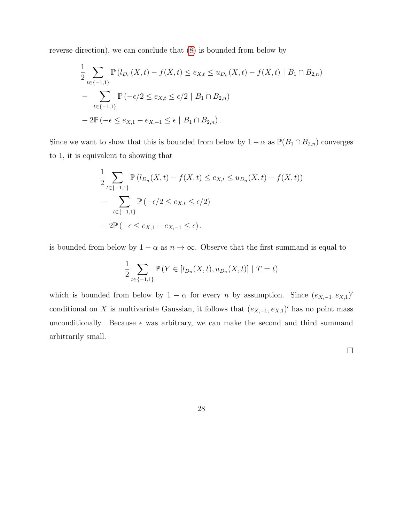reverse direction), we can conclude that [\(8\)](#page-24-0) is bounded from below by

$$
\frac{1}{2} \sum_{t \in \{-1,1\}} \mathbb{P} \left( l_{D_n}(X,t) - f(X,t) \le e_{X,t} \le u_{D_n}(X,t) - f(X,t) \mid B_1 \cap B_{2,n} \right)
$$
\n
$$
- \sum_{t \in \{-1,1\}} \mathbb{P} \left( -\epsilon/2 \le e_{X,t} \le \epsilon/2 \mid B_1 \cap B_{2,n} \right)
$$
\n
$$
- 2\mathbb{P} \left( -\epsilon \le e_{X,1} - e_{X,-1} \le \epsilon \mid B_1 \cap B_{2,n} \right).
$$

Since we want to show that this is bounded from below by  $1 - \alpha$  as  $\mathbb{P}(B_1 \cap B_{2,n})$  converges to 1, it is equivalent to showing that

$$
\frac{1}{2} \sum_{t \in \{-1,1\}} \mathbb{P} \left( l_{D_n}(X,t) - f(X,t) \le e_{X,t} \le u_{D_n}(X,t) - f(X,t) \right) \n- \sum_{t \in \{-1,1\}} \mathbb{P} \left( -\epsilon/2 \le e_{X,t} \le \epsilon/2 \right) \n- 2\mathbb{P} \left( -\epsilon \le e_{X,1} - e_{X,-1} \le \epsilon \right).
$$

is bounded from below by  $1 - \alpha$  as  $n \to \infty$ . Observe that the first summand is equal to

$$
\frac{1}{2} \sum_{t \in \{-1,1\}} \mathbb{P}\left(Y \in [l_{D_n}(X,t), u_{D_n}(X,t)] \mid T = t\right)
$$

which is bounded from below by  $1 - \alpha$  for every n by assumption. Since  $(e_{X,-1}, e_{X,1})'$ conditional on X is multivariate Gaussian, it follows that  $(e_{X,-1}, e_{X,1})'$  has no point mass unconditionally. Because  $\epsilon$  was arbitrary, we can make the second and third summand arbitrarily small.

 $\Box$ 

$$
28 \\
$$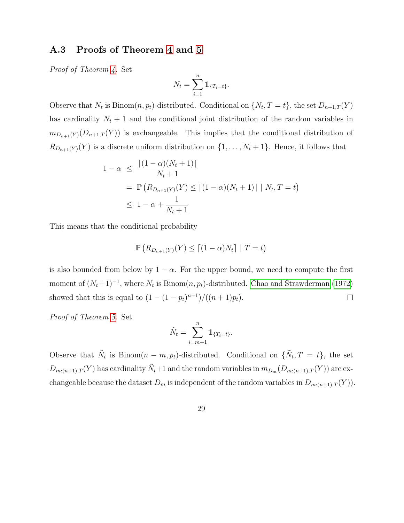## A.3 Proofs of Theorem [4](#page-13-1) and [5](#page-14-2)

Proof of Theorem [4.](#page-13-1) Set

$$
N_t = \sum_{i=1}^n \mathbb{1}_{\{T_i = t\}}.
$$

Observe that  $N_t$  is Binom $(n, p_t)$ -distributed. Conditional on  $\{N_t, T = t\}$ , the set  $D_{n+1,T}(Y)$ has cardinality  $N_t + 1$  and the conditional joint distribution of the random variables in  $m_{D_{n+1}(Y)}(D_{n+1,T}(Y))$  is exchangeable. This implies that the conditional distribution of  $R_{D_{n+1}(Y)}(Y)$  is a discrete uniform distribution on  $\{1,\ldots,N_t+1\}$ . Hence, it follows that

$$
1 - \alpha \leq \frac{\left[ (1 - \alpha)(N_t + 1) \right]}{N_t + 1}
$$
  
=  $\mathbb{P} \left( R_{D_{n+1}(Y)}(Y) \leq \left[ (1 - \alpha)(N_t + 1) \right] | N_t, T = t \right)$   
 $\leq 1 - \alpha + \frac{1}{N_t + 1}$ 

This means that the conditional probability

$$
\mathbb{P}\left(R_{D_{n+1}(Y)}(Y)\leq \lceil (1-\alpha)N_t\rceil \mid T=t\right)
$$

is also bounded from below by  $1 - \alpha$ . For the upper bound, we need to compute the first moment of  $(N_t+1)^{-1}$ , where  $N_t$  is Binom $(n, p_t)$ -distributed. [Chao and Strawderman \(1972\)](#page-29-4) showed that this is equal to  $(1 - (1 - p_t)^{n+1})/((n+1)p_t)$ .  $\Box$ 

Proof of Theorem [5.](#page-14-2) Set

$$
\tilde{N}_t = \sum_{i=m+1}^n \mathbb{1}_{\{T_i = t\}}.
$$

Observe that  $\tilde{N}_t$  is Binom $(n - m, p_t)$ -distributed. Conditional on  $\{\tilde{N}_t, T = t\}$ , the set  $D_{m:(n+1),T}(Y)$  has cardinality  $\tilde{N}_t+1$  and the random variables in  $m_{D_m}(D_{m:(n+1),T}(Y))$  are exchangeable because the dataset  $D_m$  is independent of the random variables in  $D_{m:(n+1),T}(Y)$ .

29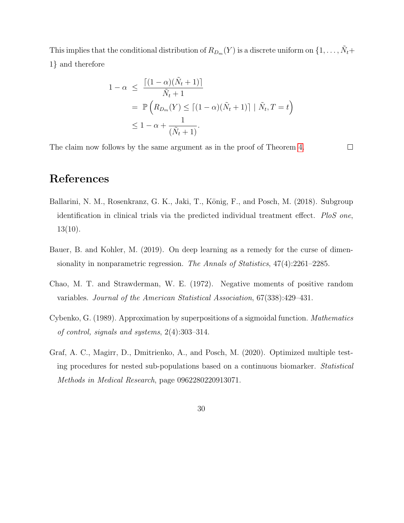This implies that the conditional distribution of  $R_{D_m}(Y)$  is a discrete uniform on  $\{1,\ldots,\tilde{N}_t+\}$ 1} and therefore

$$
1 - \alpha \leq \frac{\left[ (1 - \alpha)(\tilde{N}_t + 1) \right]}{\tilde{N}_t + 1}
$$
  
=  $\mathbb{P}\left(R_{D_m}(Y) \leq \left[ (1 - \alpha)(\tilde{N}_t + 1) \right] | \tilde{N}_t, T = t\right)$   
 $\leq 1 - \alpha + \frac{1}{(\tilde{N}_t + 1)}.$ 

The claim now follows by the same argument as in the proof of Theorem [4.](#page-13-1)

 $\Box$ 

# References

- <span id="page-29-1"></span>Ballarini, N. M., Rosenkranz, G. K., Jaki, T., König, F., and Posch, M. (2018). Subgroup identification in clinical trials via the predicted individual treatment effect. PloS one,  $13(10).$
- <span id="page-29-3"></span>Bauer, B. and Kohler, M. (2019). On deep learning as a remedy for the curse of dimensionality in nonparametric regression. The Annals of Statistics, 47(4):2261–2285.
- <span id="page-29-4"></span>Chao, M. T. and Strawderman, W. E. (1972). Negative moments of positive random variables. Journal of the American Statistical Association, 67(338):429–431.
- <span id="page-29-2"></span>Cybenko, G. (1989). Approximation by superpositions of a sigmoidal function. Mathematics of control, signals and systems, 2(4):303–314.
- <span id="page-29-0"></span>Graf, A. C., Magirr, D., Dmitrienko, A., and Posch, M. (2020). Optimized multiple testing procedures for nested sub-populations based on a continuous biomarker. Statistical Methods in Medical Research, page 0962280220913071.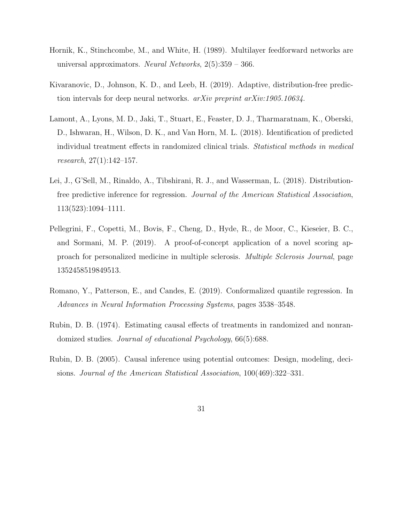- <span id="page-30-4"></span>Hornik, K., Stinchcombe, M., and White, H. (1989). Multilayer feedforward networks are universal approximators. Neural Networks,  $2(5):359 - 366$ .
- <span id="page-30-6"></span>Kivaranovic, D., Johnson, K. D., and Leeb, H. (2019). Adaptive, distribution-free prediction intervals for deep neural networks. arXiv preprint arXiv:1905.10634.
- <span id="page-30-3"></span>Lamont, A., Lyons, M. D., Jaki, T., Stuart, E., Feaster, D. J., Tharmaratnam, K., Oberski, D., Ishwaran, H., Wilson, D. K., and Van Horn, M. L. (2018). Identification of predicted individual treatment effects in randomized clinical trials. Statistical methods in medical research, 27(1):142–157.
- <span id="page-30-5"></span>Lei, J., G'Sell, M., Rinaldo, A., Tibshirani, R. J., and Wasserman, L. (2018). Distributionfree predictive inference for regression. Journal of the American Statistical Association, 113(523):1094–1111.
- <span id="page-30-0"></span>Pellegrini, F., Copetti, M., Bovis, F., Cheng, D., Hyde, R., de Moor, C., Kieseier, B. C., and Sormani, M. P. (2019). A proof-of-concept application of a novel scoring approach for personalized medicine in multiple sclerosis. Multiple Sclerosis Journal, page 1352458519849513.
- <span id="page-30-7"></span>Romano, Y., Patterson, E., and Candes, E. (2019). Conformalized quantile regression. In Advances in Neural Information Processing Systems, pages 3538–3548.
- <span id="page-30-1"></span>Rubin, D. B. (1974). Estimating causal effects of treatments in randomized and nonrandomized studies. Journal of educational Psychology, 66(5):688.
- <span id="page-30-2"></span>Rubin, D. B. (2005). Causal inference using potential outcomes: Design, modeling, decisions. Journal of the American Statistical Association, 100(469):322–331.